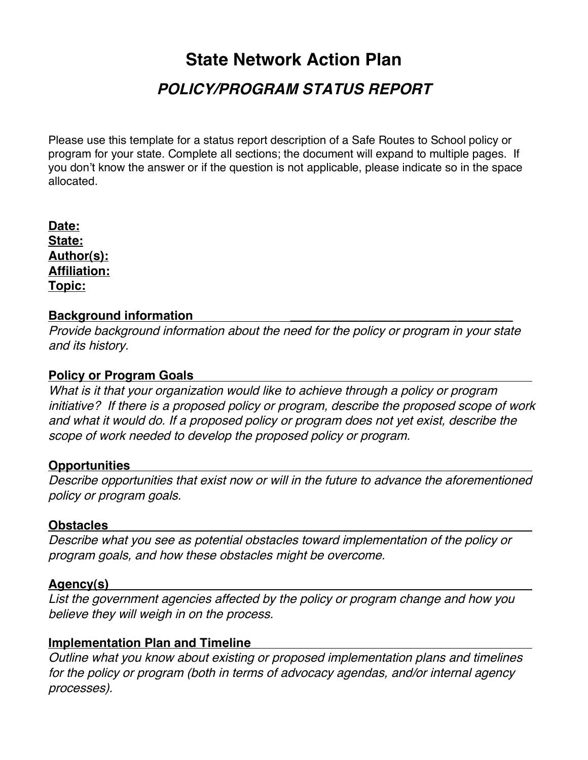# **State Network Action Plan POLICY/PROGRAM STATUS REPORT**

Please use this template for a status report description of a Safe Routes to School policy or program for your state. Complete all sections; the document will expand to multiple pages. If you don't know the answer or if the question is not applicable, please indicate so in the space allocated.

**Date: State: Author(s): Affiliation: Topic:**

# **Background information**

Provide background information about the need for the policy or program in your state and its history.

# **Policy or Program Goals**

What is it that your organization would like to achieve through a policy or program initiative? If there is a proposed policy or program, describe the proposed scope of work and what it would do. If a proposed policy or program does not yet exist, describe the scope of work needed to develop the proposed policy or program.

## **Opportunities**

Describe opportunities that exist now or will in the future to advance the aforementioned policy or program goals.

## **Obstacles**

Describe what you see as potential obstacles toward implementation of the policy or program goals, and how these obstacles might be overcome.

## **Agency(s)**

List the government agencies affected by the policy or program change and how you believe they will weigh in on the process.

# **Implementation Plan and Timeline**

Outline what you know about existing or proposed implementation plans and timelines for the policy or program (both in terms of advocacy agendas, and/or internal agency processes).